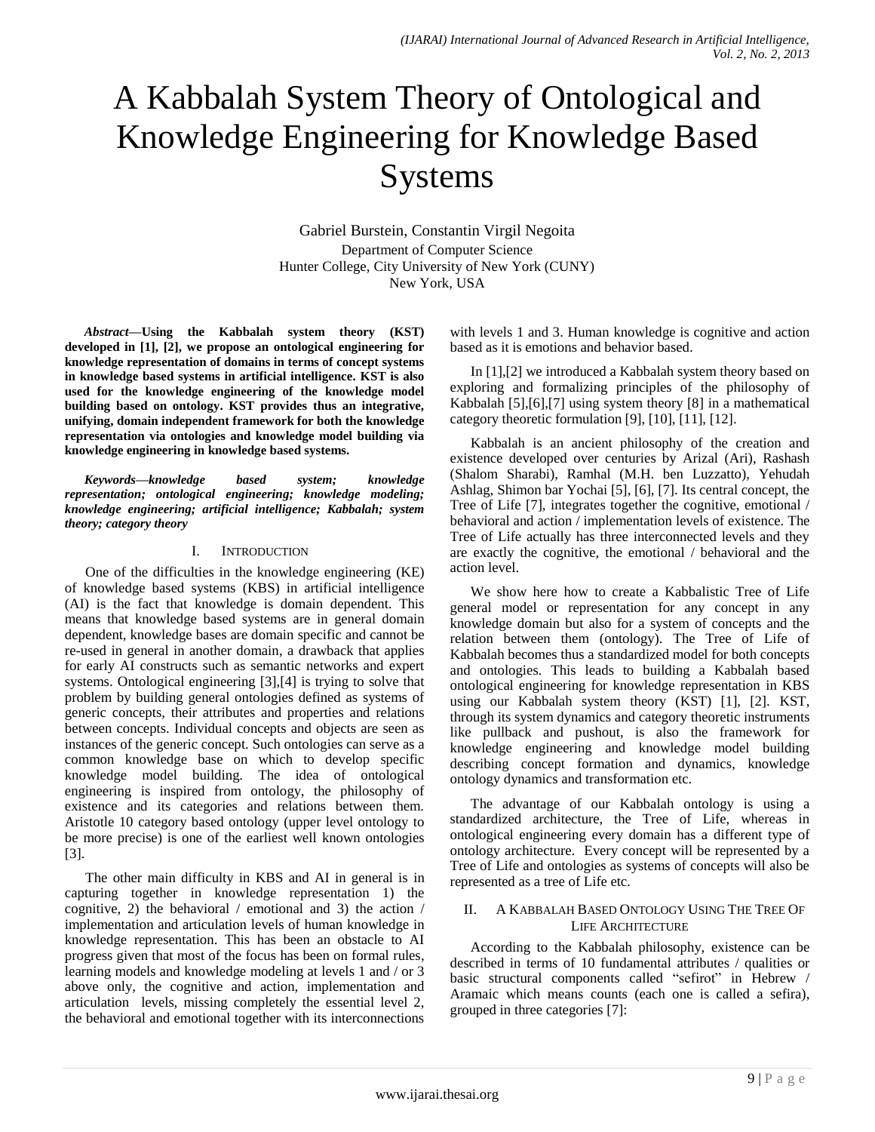# A Kabbalah System Theory of Ontological and Knowledge Engineering for Knowledge Based Systems

Gabriel Burstein, Constantin Virgil Negoita Department of Computer Science Hunter College, City University of New York (CUNY) New York, USA

*Abstract***—Using the Kabbalah system theory (KST) developed in [1], [2], we propose an ontological engineering for knowledge representation of domains in terms of concept systems in knowledge based systems in artificial intelligence. KST is also used for the knowledge engineering of the knowledge model building based on ontology. KST provides thus an integrative, unifying, domain independent framework for both the knowledge representation via ontologies and knowledge model building via knowledge engineering in knowledge based systems.** 

*Keywords—knowledge based system; knowledge representation; ontological engineering; knowledge modeling; knowledge engineering; artificial intelligence; Kabbalah; system theory; category theory*

## I. INTRODUCTION

One of the difficulties in the knowledge engineering (KE) of knowledge based systems (KBS) in artificial intelligence (AI) is the fact that knowledge is domain dependent. This means that knowledge based systems are in general domain dependent, knowledge bases are domain specific and cannot be re-used in general in another domain, a drawback that applies for early AI constructs such as semantic networks and expert systems. Ontological engineering [3],[4] is trying to solve that problem by building general ontologies defined as systems of generic concepts, their attributes and properties and relations between concepts. Individual concepts and objects are seen as instances of the generic concept. Such ontologies can serve as a common knowledge base on which to develop specific knowledge model building. The idea of ontological engineering is inspired from ontology, the philosophy of existence and its categories and relations between them. Aristotle 10 category based ontology (upper level ontology to be more precise) is one of the earliest well known ontologies [3].

The other main difficulty in KBS and AI in general is in capturing together in knowledge representation 1) the cognitive, 2) the behavioral / emotional and 3) the action / implementation and articulation levels of human knowledge in knowledge representation. This has been an obstacle to AI progress given that most of the focus has been on formal rules, learning models and knowledge modeling at levels 1 and / or 3 above only, the cognitive and action, implementation and articulation levels, missing completely the essential level 2, the behavioral and emotional together with its interconnections

with levels 1 and 3. Human knowledge is cognitive and action based as it is emotions and behavior based.

In [1],[2] we introduced a Kabbalah system theory based on exploring and formalizing principles of the philosophy of Kabbalah [5],[6],[7] using system theory [8] in a mathematical category theoretic formulation [9], [10], [11], [12].

Kabbalah is an ancient philosophy of the creation and existence developed over centuries by Arizal (Ari), Rashash (Shalom Sharabi), Ramhal (M.H. ben Luzzatto), Yehudah Ashlag, Shimon bar Yochai [5], [6], [7]. Its central concept, the Tree of Life [7], integrates together the cognitive, emotional / behavioral and action / implementation levels of existence. The Tree of Life actually has three interconnected levels and they are exactly the cognitive, the emotional / behavioral and the action level.

We show here how to create a Kabbalistic Tree of Life general model or representation for any concept in any knowledge domain but also for a system of concepts and the relation between them (ontology). The Tree of Life of Kabbalah becomes thus a standardized model for both concepts and ontologies. This leads to building a Kabbalah based ontological engineering for knowledge representation in KBS using our Kabbalah system theory (KST) [1], [2]. KST, through its system dynamics and category theoretic instruments like pullback and pushout, is also the framework for knowledge engineering and knowledge model building describing concept formation and dynamics, knowledge ontology dynamics and transformation etc.

The advantage of our Kabbalah ontology is using a standardized architecture, the Tree of Life, whereas in ontological engineering every domain has a different type of ontology architecture. Every concept will be represented by a Tree of Life and ontologies as systems of concepts will also be represented as a tree of Life etc.

## II. A KABBALAH BASED ONTOLOGY USING THE TREE OF LIFE ARCHITECTURE

According to the Kabbalah philosophy, existence can be described in terms of 10 fundamental attributes / qualities or basic structural components called "sefirot" in Hebrew / Aramaic which means counts (each one is called a sefira), grouped in three categories [7]: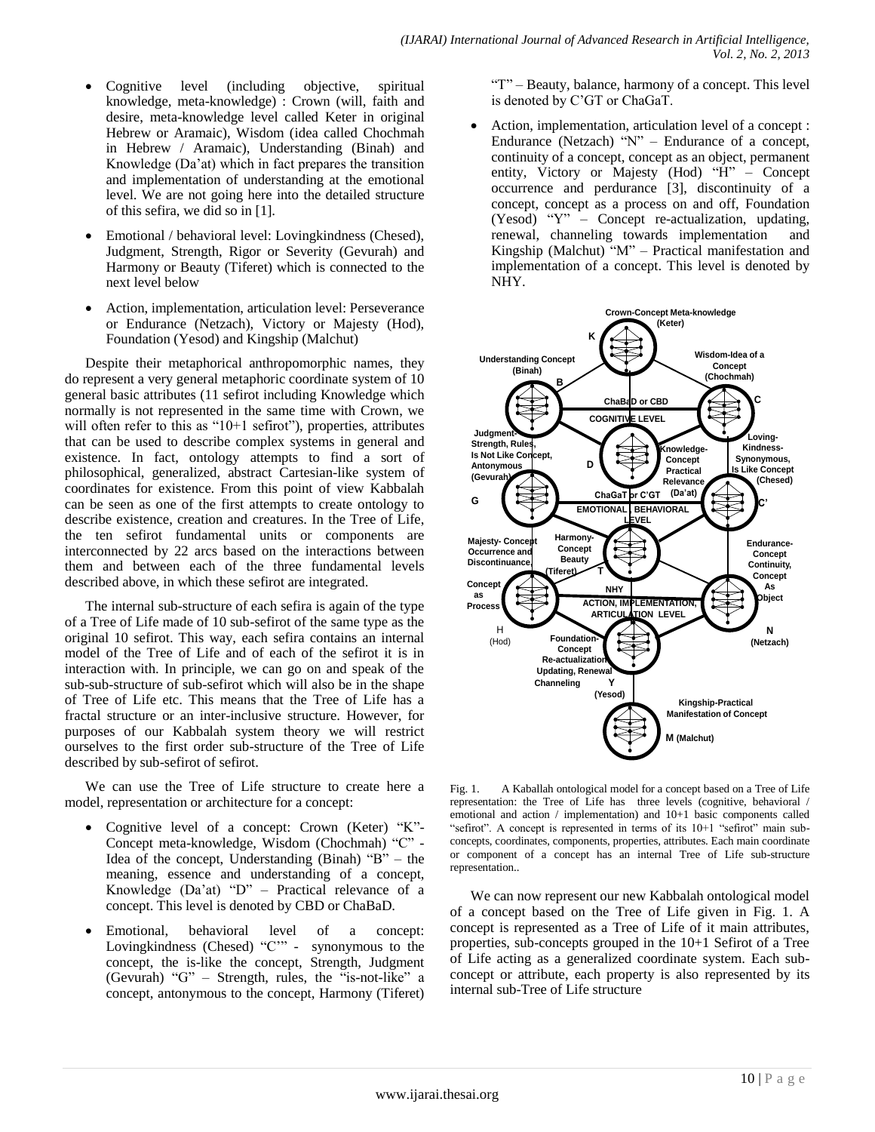- Cognitive level (including objective, spiritual knowledge, meta-knowledge) : Crown (will, faith and desire, meta-knowledge level called Keter in original Hebrew or Aramaic), Wisdom (idea called Chochmah in Hebrew / Aramaic), Understanding (Binah) and Knowledge (Da'at) which in fact prepares the transition and implementation of understanding at the emotional level. We are not going here into the detailed structure of this sefira, we did so in [1].
- Emotional / behavioral level: Lovingkindness (Chesed), Judgment, Strength, Rigor or Severity (Gevurah) and Harmony or Beauty (Tiferet) which is connected to the next level below
- Action, implementation, articulation level: Perseverance or Endurance (Netzach), Victory or Majesty (Hod), Foundation (Yesod) and Kingship (Malchut)

Despite their metaphorical anthropomorphic names, they do represent a very general metaphoric coordinate system of 10 general basic attributes (11 sefirot including Knowledge which normally is not represented in the same time with Crown, we will often refer to this as "10+1 sefirot"), properties, attributes that can be used to describe complex systems in general and existence. In fact, ontology attempts to find a sort of philosophical, generalized, abstract Cartesian-like system of coordinates for existence. From this point of view Kabbalah can be seen as one of the first attempts to create ontology to describe existence, creation and creatures. In the Tree of Life, the ten sefirot fundamental units or components are interconnected by 22 arcs based on the interactions between them and between each of the three fundamental levels described above, in which these sefirot are integrated.

The internal sub-structure of each sefira is again of the type of a Tree of Life made of 10 sub-sefirot of the same type as the original 10 sefirot. This way, each sefira contains an internal model of the Tree of Life and of each of the sefirot it is in interaction with. In principle, we can go on and speak of the sub-sub-structure of sub-sefirot which will also be in the shape of Tree of Life etc. This means that the Tree of Life has a fractal structure or an inter-inclusive structure. However, for purposes of our Kabbalah system theory we will restrict ourselves to the first order sub-structure of the Tree of Life described by sub-sefirot of sefirot.

We can use the Tree of Life structure to create here a model, representation or architecture for a concept:

- Cognitive level of a concept: Crown (Keter) "K"- Concept meta-knowledge, Wisdom (Chochmah) "C" - Idea of the concept, Understanding (Binah) "B" – the meaning, essence and understanding of a concept, Knowledge (Da'at) "D" – Practical relevance of a concept. This level is denoted by CBD or ChaBaD.
- Emotional, behavioral level of a concept: Lovingkindness (Chesed) "C'" - synonymous to the concept, the is-like the concept, Strength, Judgment (Gevurah) "G" – Strength, rules, the "is-not-like" a concept, antonymous to the concept, Harmony (Tiferet)

"T" – Beauty, balance, harmony of a concept. This level is denoted by C'GT or ChaGaT.

 Action, implementation, articulation level of a concept : Endurance (Netzach) "N" – Endurance of a concept, continuity of a concept, concept as an object, permanent entity, Victory or Majesty (Hod) "H" – Concept occurrence and perdurance [3], discontinuity of a concept, concept as a process on and off, Foundation (Yesod) "Y" – Concept re-actualization, updating, renewal, channeling towards implementation and Kingship (Malchut) "M" – Practical manifestation and implementation of a concept. This level is denoted by NHY.



Fig. 1. A Kaballah ontological model for a concept based on a Tree of Life representation: the Tree of Life has three levels (cognitive, behavioral / emotional and action / implementation) and 10+1 basic components called "sefirot". A concept is represented in terms of its 10+1 "sefirot" main subconcepts, coordinates, components, properties, attributes. Each main coordinate or component of a concept has an internal Tree of Life sub-structure representation..

We can now represent our new Kabbalah ontological model of a concept based on the Tree of Life given in Fig. 1. A concept is represented as a Tree of Life of it main attributes, properties, sub-concepts grouped in the 10+1 Sefirot of a Tree of Life acting as a generalized coordinate system. Each subconcept or attribute, each property is also represented by its internal sub-Tree of Life structure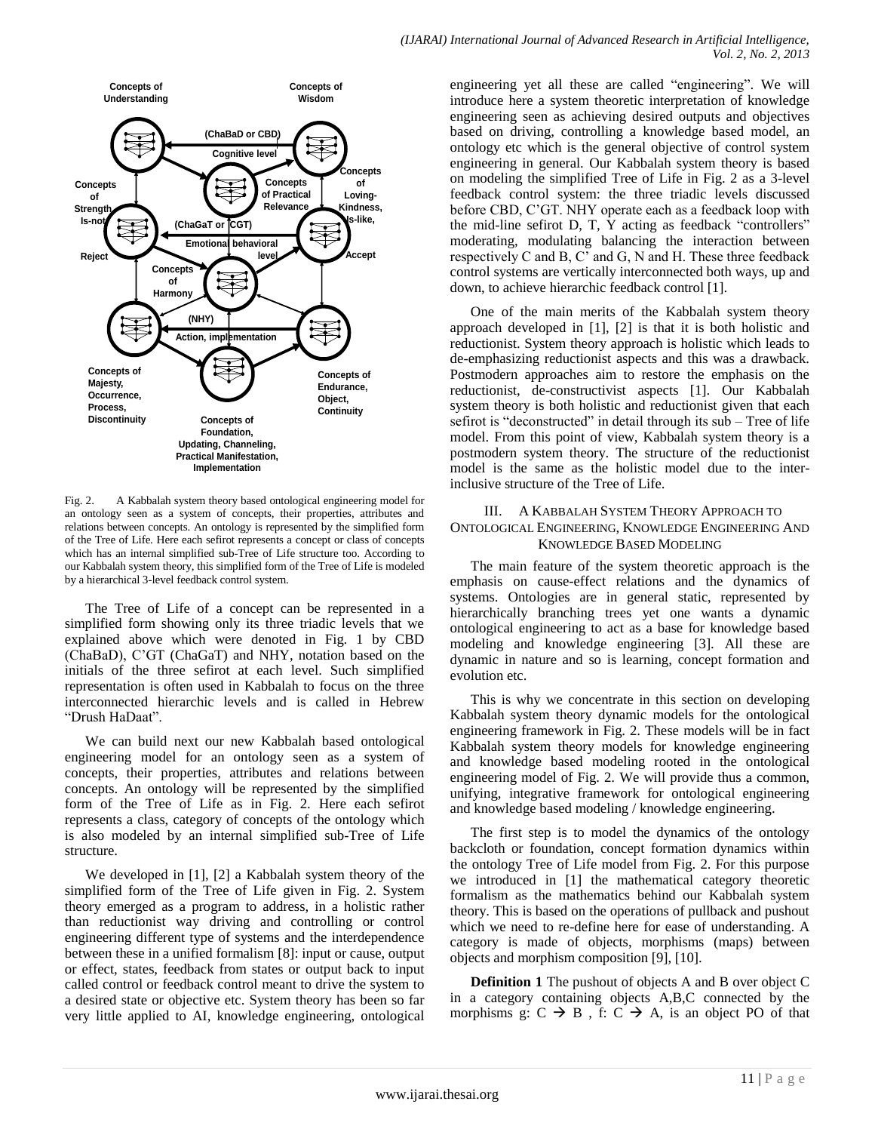

Fig. 2. A Kabbalah system theory based ontological engineering model for an ontology seen as a system of concepts, their properties, attributes and relations between concepts. An ontology is represented by the simplified form of the Tree of Life. Here each sefirot represents a concept or class of concepts which has an internal simplified sub-Tree of Life structure too. According to our Kabbalah system theory, this simplified form of the Tree of Life is modeled by a hierarchical 3-level feedback control system.

The Tree of Life of a concept can be represented in a simplified form showing only its three triadic levels that we explained above which were denoted in Fig. 1 by CBD (ChaBaD), C'GT (ChaGaT) and NHY, notation based on the initials of the three sefirot at each level. Such simplified representation is often used in Kabbalah to focus on the three interconnected hierarchic levels and is called in Hebrew "Drush HaDaat".

We can build next our new Kabbalah based ontological engineering model for an ontology seen as a system of concepts, their properties, attributes and relations between concepts. An ontology will be represented by the simplified form of the Tree of Life as in Fig. 2. Here each sefirot represents a class, category of concepts of the ontology which is also modeled by an internal simplified sub-Tree of Life structure.

We developed in [1], [2] a Kabbalah system theory of the simplified form of the Tree of Life given in Fig. 2. System theory emerged as a program to address, in a holistic rather than reductionist way driving and controlling or control engineering different type of systems and the interdependence between these in a unified formalism [8]: input or cause, output or effect, states, feedback from states or output back to input called control or feedback control meant to drive the system to a desired state or objective etc. System theory has been so far very little applied to AI, knowledge engineering, ontological

engineering yet all these are called "engineering". We will introduce here a system theoretic interpretation of knowledge engineering seen as achieving desired outputs and objectives based on driving, controlling a knowledge based model, an ontology etc which is the general objective of control system engineering in general. Our Kabbalah system theory is based on modeling the simplified Tree of Life in Fig. 2 as a 3-level feedback control system: the three triadic levels discussed before CBD, C'GT. NHY operate each as a feedback loop with the mid-line sefirot D, T, Y acting as feedback "controllers" moderating, modulating balancing the interaction between respectively C and B, C' and G, N and H. These three feedback control systems are vertically interconnected both ways, up and down, to achieve hierarchic feedback control [1].

One of the main merits of the Kabbalah system theory approach developed in [1], [2] is that it is both holistic and reductionist. System theory approach is holistic which leads to de-emphasizing reductionist aspects and this was a drawback. Postmodern approaches aim to restore the emphasis on the reductionist, de-constructivist aspects [1]. Our Kabbalah system theory is both holistic and reductionist given that each sefirot is "deconstructed" in detail through its sub – Tree of life model. From this point of view, Kabbalah system theory is a postmodern system theory. The structure of the reductionist model is the same as the holistic model due to the interinclusive structure of the Tree of Life.

# III. A KABBALAH SYSTEM THEORY APPROACH TO ONTOLOGICAL ENGINEERING, KNOWLEDGE ENGINEERING AND KNOWLEDGE BASED MODELING

The main feature of the system theoretic approach is the emphasis on cause-effect relations and the dynamics of systems. Ontologies are in general static, represented by hierarchically branching trees yet one wants a dynamic ontological engineering to act as a base for knowledge based modeling and knowledge engineering [3]. All these are dynamic in nature and so is learning, concept formation and evolution etc.

This is why we concentrate in this section on developing Kabbalah system theory dynamic models for the ontological engineering framework in Fig. 2. These models will be in fact Kabbalah system theory models for knowledge engineering and knowledge based modeling rooted in the ontological engineering model of Fig. 2. We will provide thus a common, unifying, integrative framework for ontological engineering and knowledge based modeling / knowledge engineering.

The first step is to model the dynamics of the ontology backcloth or foundation, concept formation dynamics within the ontology Tree of Life model from Fig. 2. For this purpose we introduced in [1] the mathematical category theoretic formalism as the mathematics behind our Kabbalah system theory. This is based on the operations of pullback and pushout which we need to re-define here for ease of understanding. A category is made of objects, morphisms (maps) between objects and morphism composition [9], [10].

**Definition 1** The pushout of objects A and B over object C in a category containing objects A,B,C connected by the morphisms g:  $C \rightarrow B$ , f:  $C \rightarrow A$ , is an object PO of that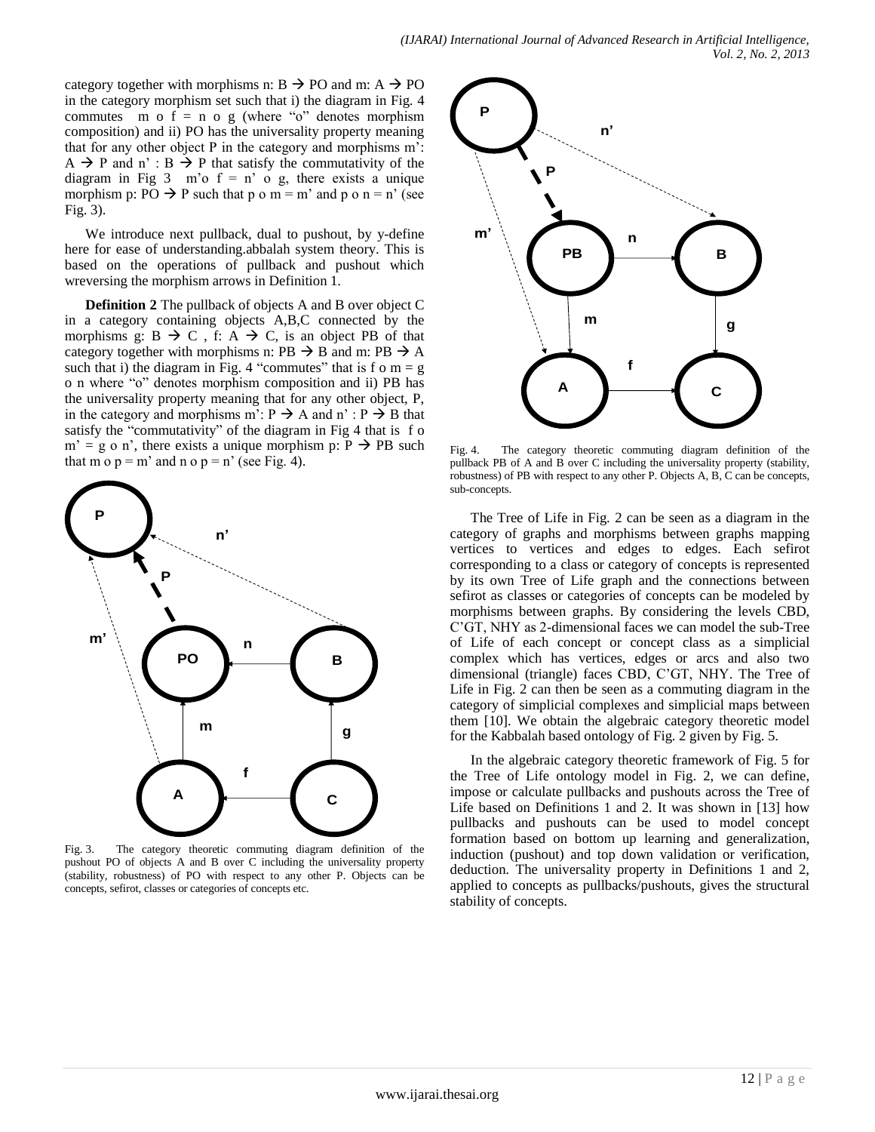category together with morphisms n:  $B \rightarrow PO$  and m:  $A \rightarrow PO$ in the category morphism set such that i) the diagram in Fig. 4 commutes m o  $f = n$  o g (where "o" denotes morphism composition) and ii) PO has the universality property meaning that for any other object P in the category and morphisms m':  $A \rightarrow P$  and n':  $B \rightarrow P$  that satisfy the commutativity of the diagram in Fig  $3 \text{ m'o } f = \text{n' o g}$ , there exists a unique morphism p: PO  $\rightarrow$  P such that p o m = m' and p o n = n' (see Fig. 3).

We introduce next pullback, dual to pushout, by y-define here for ease of understanding.abbalah system theory. This is based on the operations of pullback and pushout which wreversing the morphism arrows in Definition 1.

**Definition 2** The pullback of objects A and B over object C in a category containing objects A,B,C connected by the morphisms g:  $B \rightarrow C$ , f:  $A \rightarrow C$ , is an object PB of that category together with morphisms n:  $PB \rightarrow B$  and m:  $PB \rightarrow A$ such that i) the diagram in Fig. 4 "commutes" that is f o  $m = g$ o n where "o" denotes morphism composition and ii) PB has the universality property meaning that for any other object, P, in the category and morphisms m':  $P \rightarrow A$  and n' :  $P \rightarrow B$  that satisfy the "commutativity" of the diagram in Fig 4 that is f o  $m' = g$  o n', there exists a unique morphism p:  $P \rightarrow PB$  such that m o  $p = m'$  and n o  $p = n'$  (see Fig. 4).



Fig. 3. The category theoretic commuting diagram definition of the pushout PO of objects A and B over C including the universality property (stability, robustness) of PO with respect to any other P. Objects can be concepts, sefirot, classes or categories of concepts etc.



Fig. 4. The category theoretic commuting diagram definition of the pullback PB of A and B over C including the universality property (stability, robustness) of PB with respect to any other P. Objects A, B, C can be concepts, sub-concepts.

The Tree of Life in Fig. 2 can be seen as a diagram in the category of graphs and morphisms between graphs mapping vertices to vertices and edges to edges. Each sefirot corresponding to a class or category of concepts is represented by its own Tree of Life graph and the connections between sefirot as classes or categories of concepts can be modeled by morphisms between graphs. By considering the levels CBD, C'GT, NHY as 2-dimensional faces we can model the sub-Tree of Life of each concept or concept class as a simplicial complex which has vertices, edges or arcs and also two dimensional (triangle) faces CBD, C'GT, NHY. The Tree of Life in Fig. 2 can then be seen as a commuting diagram in the category of simplicial complexes and simplicial maps between them [10]. We obtain the algebraic category theoretic model for the Kabbalah based ontology of Fig. 2 given by Fig. 5.

In the algebraic category theoretic framework of Fig. 5 for the Tree of Life ontology model in Fig. 2, we can define, impose or calculate pullbacks and pushouts across the Tree of Life based on Definitions 1 and 2. It was shown in [13] how pullbacks and pushouts can be used to model concept formation based on bottom up learning and generalization, induction (pushout) and top down validation or verification, deduction. The universality property in Definitions 1 and 2, applied to concepts as pullbacks/pushouts, gives the structural stability of concepts.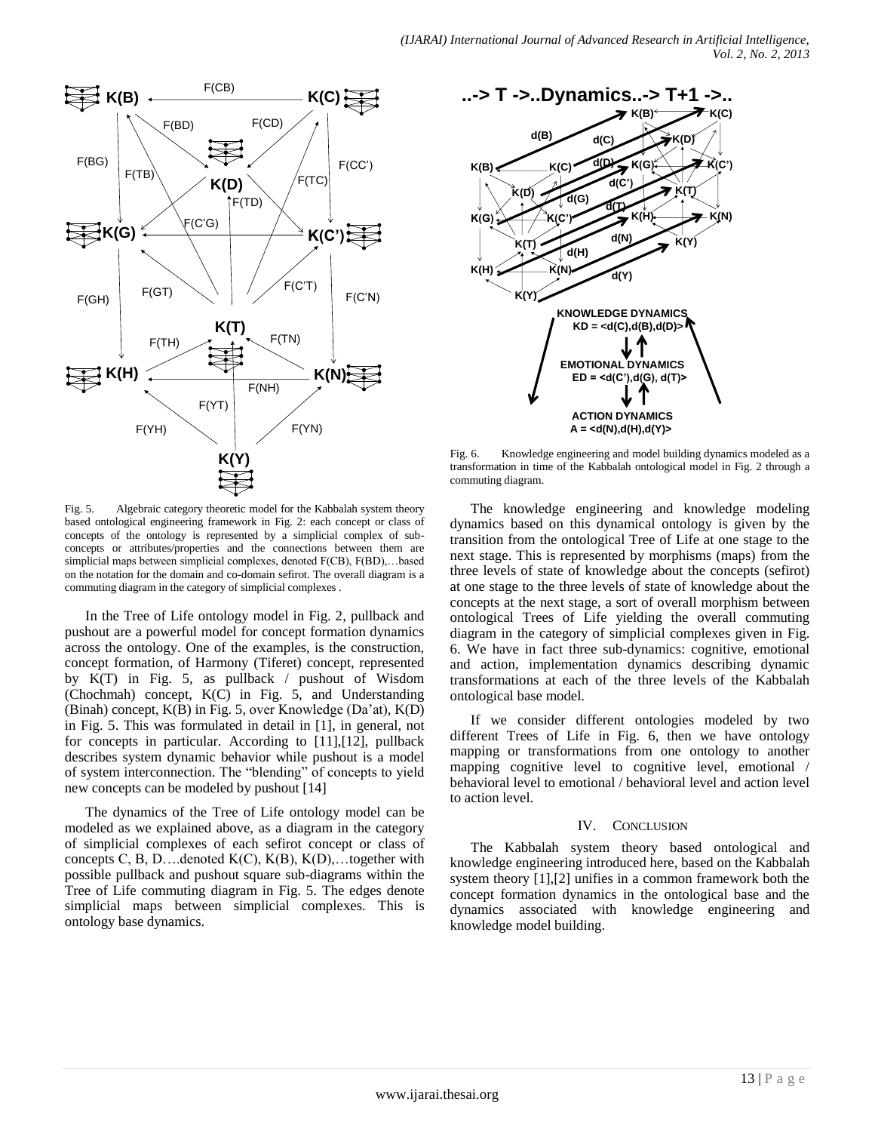

Fig. 5. Algebraic category theoretic model for the Kabbalah system theory based ontological engineering framework in Fig. 2: each concept or class of concepts of the ontology is represented by a simplicial complex of subconcepts or attributes/properties and the connections between them are simplicial maps between simplicial complexes, denoted F(CB), F(BD),…based on the notation for the domain and co-domain sefirot. The overall diagram is a commuting diagram in the category of simplicial complexes .

In the Tree of Life ontology model in Fig. 2, pullback and pushout are a powerful model for concept formation dynamics across the ontology. One of the examples, is the construction, concept formation, of Harmony (Tiferet) concept, represented by K(T) in Fig. 5, as pullback / pushout of Wisdom (Chochmah) concept, K(C) in Fig. 5, and Understanding (Binah) concept, K(B) in Fig. 5, over Knowledge (Da'at), K(D) in Fig. 5. This was formulated in detail in [1], in general, not for concepts in particular. According to [11],[12], pullback describes system dynamic behavior while pushout is a model of system interconnection. The "blending" of concepts to yield new concepts can be modeled by pushout [14]

The dynamics of the Tree of Life ontology model can be modeled as we explained above, as a diagram in the category of simplicial complexes of each sefirot concept or class of concepts C, B, D....denoted  $K(C)$ ,  $K(B)$ ,  $K(D)$ ,...together with possible pullback and pushout square sub-diagrams within the Tree of Life commuting diagram in Fig. 5. The edges denote simplicial maps between simplicial complexes. This is ontology base dynamics.



Fig. 6. Knowledge engineering and model building dynamics modeled as a transformation in time of the Kabbalah ontological model in Fig. 2 through a commuting diagram.

The knowledge engineering and knowledge modeling dynamics based on this dynamical ontology is given by the transition from the ontological Tree of Life at one stage to the next stage. This is represented by morphisms (maps) from the three levels of state of knowledge about the concepts (sefirot) at one stage to the three levels of state of knowledge about the concepts at the next stage, a sort of overall morphism between ontological Trees of Life yielding the overall commuting diagram in the category of simplicial complexes given in Fig. 6. We have in fact three sub-dynamics: cognitive, emotional and action, implementation dynamics describing dynamic transformations at each of the three levels of the Kabbalah ontological base model.

If we consider different ontologies modeled by two different Trees of Life in Fig. 6, then we have ontology mapping or transformations from one ontology to another mapping cognitive level to cognitive level, emotional / behavioral level to emotional / behavioral level and action level to action level.

### IV. CONCLUSION

The Kabbalah system theory based ontological and knowledge engineering introduced here, based on the Kabbalah system theory [1],[2] unifies in a common framework both the concept formation dynamics in the ontological base and the dynamics associated with knowledge engineering and knowledge model building.